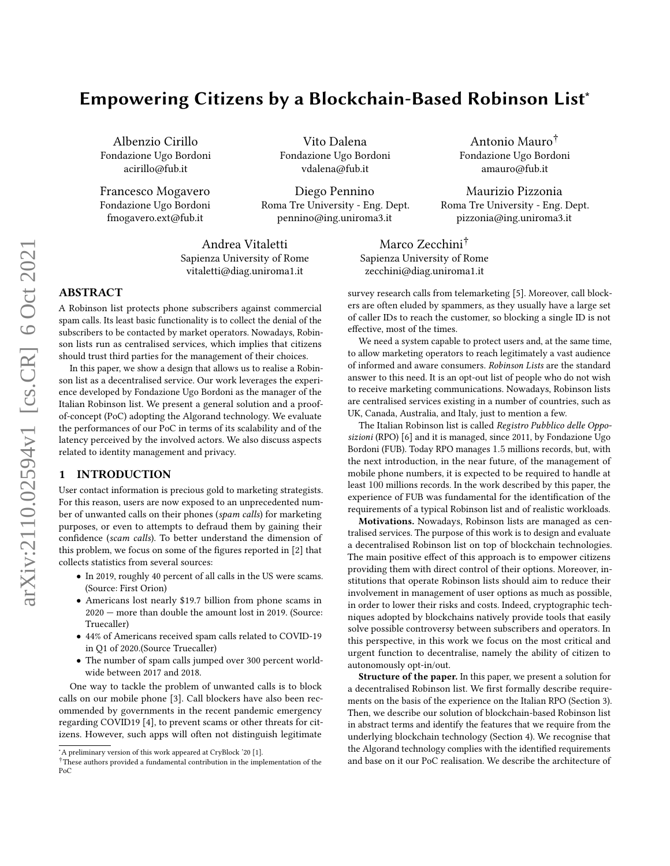# Empowering Citizens by a Blockchain-Based Robinson List<sup>∗</sup>

Albenzio Cirillo Fondazione Ugo Bordoni acirillo@fub.it

Francesco Mogavero Fondazione Ugo Bordoni fmogavero.ext@fub.it

Vito Dalena Fondazione Ugo Bordoni vdalena@fub.it

Diego Pennino Roma Tre University - Eng. Dept. pennino@ing.uniroma3.it

Andrea Vitaletti Sapienza University of Rome vitaletti@diag.uniroma1.it

## ABSTRACT

A Robinson list protects phone subscribers against commercial spam calls. Its least basic functionality is to collect the denial of the subscribers to be contacted by market operators. Nowadays, Robinson lists run as centralised services, which implies that citizens should trust third parties for the management of their choices.

In this paper, we show a design that allows us to realise a Robinson list as a decentralised service. Our work leverages the experience developed by Fondazione Ugo Bordoni as the manager of the Italian Robinson list. We present a general solution and a proofof-concept (PoC) adopting the Algorand technology. We evaluate the performances of our PoC in terms of its scalability and of the latency perceived by the involved actors. We also discuss aspects related to identity management and privacy.

## <span id="page-0-0"></span>1 INTRODUCTION

User contact information is precious gold to marketing strategists. For this reason, users are now exposed to an unprecedented number of unwanted calls on their phones (spam calls) for marketing purposes, or even to attempts to defraud them by gaining their confidence (scam calls). To better understand the dimension of this problem, we focus on some of the figures reported in [\[2\]](#page-7-0) that collects statistics from several sources:

- In 2019, roughly 40 percent of all calls in the US were scams. (Source: First Orion)
- Americans lost nearly \$19.7 billion from phone scams in 2020 — more than double the amount lost in 2019. (Source: Truecaller)
- 44% of Americans received spam calls related to COVID-19 in Q1 of 2020.(Source Truecaller)
- The number of spam calls jumped over 300 percent worldwide between 2017 and 2018.

One way to tackle the problem of unwanted calls is to block calls on our mobile phone [\[3\]](#page-7-1). Call blockers have also been recommended by governments in the recent pandemic emergency regarding COVID19 [\[4\]](#page-7-2), to prevent scams or other threats for citizens. However, such apps will often not distinguish legitimate

Antonio Mauro† Fondazione Ugo Bordoni amauro@fub.it

Maurizio Pizzonia Roma Tre University - Eng. Dept. pizzonia@ing.uniroma3.it

Marco Zecchini† Sapienza University of Rome zecchini@diag.uniroma1.it

survey research calls from telemarketing [\[5\]](#page-7-4). Moreover, call blockers are often eluded by spammers, as they usually have a large set of caller IDs to reach the customer, so blocking a single ID is not effective, most of the times.

We need a system capable to protect users and, at the same time, to allow marketing operators to reach legitimately a vast audience of informed and aware consumers. Robinson Lists are the standard answer to this need. It is an opt-out list of people who do not wish to receive marketing communications. Nowadays, Robinson lists are centralised services existing in a number of countries, such as UK, Canada, Australia, and Italy, just to mention a few.

The Italian Robinson list is called Registro Pubblico delle Opposizioni (RPO) [\[6\]](#page-7-5) and it is managed, since 2011, by Fondazione Ugo Bordoni (FUB). Today RPO manages 1.5 millions records, but, with the next introduction, in the near future, of the management of mobile phone numbers, it is expected to be required to handle at least 100 millions records. In the work described by this paper, the experience of FUB was fundamental for the identification of the requirements of a typical Robinson list and of realistic workloads.

Motivations. Nowadays, Robinson lists are managed as centralised services. The purpose of this work is to design and evaluate a decentralised Robinson list on top of blockchain technologies. The main positive effect of this approach is to empower citizens providing them with direct control of their options. Moreover, institutions that operate Robinson lists should aim to reduce their involvement in management of user options as much as possible, in order to lower their risks and costs. Indeed, cryptographic techniques adopted by blockchains natively provide tools that easily solve possible controversy between subscribers and operators. In this perspective, in this work we focus on the most critical and urgent function to decentralise, namely the ability of citizen to autonomously opt-in/out.

Structure of the paper. In this paper, we present a solution for a decentralised Robinson list. We first formally describe requirements on the basis of the experience on the Italian RPO (Section [3\)](#page-1-0). Then, we describe our solution of blockchain-based Robinson list in abstract terms and identify the features that we require from the underlying blockchain technology (Section [4\)](#page-2-0). We recognise that the Algorand technology complies with the identified requirements and base on it our PoC realisation. We describe the architecture of

<sup>∗</sup>A preliminary version of this work appeared at CryBlock '20 [\[1\]](#page-7-3).

<sup>†</sup>These authors provided a fundamental contribution in the implementation of the PoC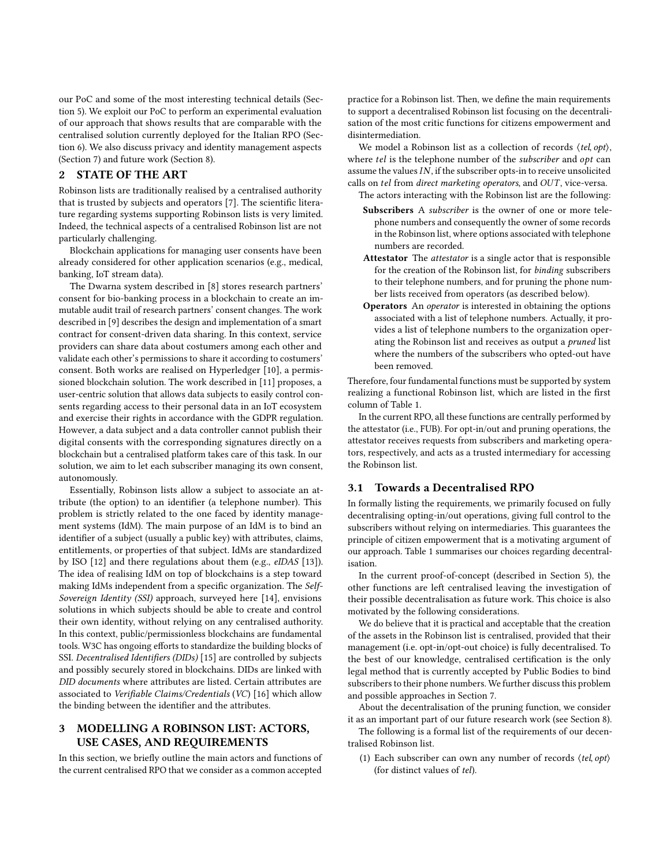our PoC and some of the most interesting technical details (Section [5\)](#page-3-0). We exploit our PoC to perform an experimental evaluation of our approach that shows results that are comparable with the centralised solution currently deployed for the Italian RPO (Section [6\)](#page-4-0). We also discuss privacy and identity management aspects (Section [7\)](#page-6-0) and future work (Section [8\)](#page-7-6).

## 2 STATE OF THE ART

Robinson lists are traditionally realised by a centralised authority that is trusted by subjects and operators [\[7\]](#page-7-7). The scientific literature regarding systems supporting Robinson lists is very limited. Indeed, the technical aspects of a centralised Robinson list are not particularly challenging.

Blockchain applications for managing user consents have been already considered for other application scenarios (e.g., medical, banking, IoT stream data).

The Dwarna system described in [\[8\]](#page-7-8) stores research partners' consent for bio-banking process in a blockchain to create an immutable audit trail of research partners' consent changes. The work described in [\[9\]](#page-7-9) describes the design and implementation of a smart contract for consent-driven data sharing. In this context, service providers can share data about costumers among each other and validate each other's permissions to share it according to costumers' consent. Both works are realised on Hyperledger [\[10\]](#page-7-10), a permissioned blockchain solution. The work described in [\[11\]](#page-7-11) proposes, a user-centric solution that allows data subjects to easily control consents regarding access to their personal data in an IoT ecosystem and exercise their rights in accordance with the GDPR regulation. However, a data subject and a data controller cannot publish their digital consents with the corresponding signatures directly on a blockchain but a centralised platform takes care of this task. In our solution, we aim to let each subscriber managing its own consent, autonomously.

Essentially, Robinson lists allow a subject to associate an attribute (the option) to an identifier (a telephone number). This problem is strictly related to the one faced by identity management systems (IdM). The main purpose of an IdM is to bind an identifier of a subject (usually a public key) with attributes, claims, entitlements, or properties of that subject. IdMs are standardized by ISO [\[12\]](#page-7-12) and there regulations about them (e.g., eIDAS [\[13\]](#page-7-13)). The idea of realising IdM on top of blockchains is a step toward making IdMs independent from a specific organization. The Self-Sovereign Identity (SSI) approach, surveyed here [\[14\]](#page-7-14), envisions solutions in which subjects should be able to create and control their own identity, without relying on any centralised authority. In this context, public/permissionless blockchains are fundamental tools. W3C has ongoing efforts to standardize the building blocks of SSI. Decentralised Identifiers (DIDs) [\[15\]](#page-7-15) are controlled by subjects and possibly securely stored in blockchains. DIDs are linked with DID documents where attributes are listed. Certain attributes are associated to Verifiable Claims/Credentials (VC) [\[16\]](#page-7-16) which allow the binding between the identifier and the attributes.

## <span id="page-1-0"></span>3 MODELLING A ROBINSON LIST: ACTORS, USE CASES, AND REQUIREMENTS

In this section, we briefly outline the main actors and functions of the current centralised RPO that we consider as a common accepted

practice for a Robinson list. Then, we define the main requirements to support a decentralised Robinson list focusing on the decentralisation of the most critic functions for citizens empowerment and disintermediation.

We model a Robinson list as a collection of records  $\langle tel, opt \rangle$ , where *tel* is the telephone number of the *subscriber* and *opt* can assume the values  $IN$ , if the subscriber opts-in to receive unsolicited calls on tel from direct marketing operators, and OUT, vice-versa.

- The actors interacting with the Robinson list are the following: Subscribers A subscriber is the owner of one or more telephone numbers and consequently the owner of some records in the Robinson list, where options associated with telephone numbers are recorded.
- Attestator The attestator is a single actor that is responsible for the creation of the Robinson list, for binding subscribers to their telephone numbers, and for pruning the phone number lists received from operators (as described below).
- Operators An operator is interested in obtaining the options associated with a list of telephone numbers. Actually, it provides a list of telephone numbers to the organization operating the Robinson list and receives as output a pruned list where the numbers of the subscribers who opted-out have been removed.

Therefore, four fundamental functions must be supported by system realizing a functional Robinson list, which are listed in the first column of Table [1.](#page-2-1)

In the current RPO, all these functions are centrally performed by the attestator (i.e., FUB). For opt-in/out and pruning operations, the attestator receives requests from subscribers and marketing operators, respectively, and acts as a trusted intermediary for accessing the Robinson list.

## 3.1 Towards a Decentralised RPO

In formally listing the requirements, we primarily focused on fully decentralising opting-in/out operations, giving full control to the subscribers without relying on intermediaries. This guarantees the principle of citizen empowerment that is a motivating argument of our approach. Table [1](#page-2-1) summarises our choices regarding decentralisation.

In the current proof-of-concept (described in Section [5\)](#page-3-0), the other functions are left centralised leaving the investigation of their possible decentralisation as future work. This choice is also motivated by the following considerations.

We do believe that it is practical and acceptable that the creation of the assets in the Robinson list is centralised, provided that their management (i.e. opt-in/opt-out choice) is fully decentralised. To the best of our knowledge, centralised certification is the only legal method that is currently accepted by Public Bodies to bind subscribers to their phone numbers. We further discuss this problem and possible approaches in Section [7.](#page-6-0)

About the decentralisation of the pruning function, we consider it as an important part of our future research work (see Section [8\)](#page-7-6).

The following is a formal list of the requirements of our decentralised Robinson list.

<span id="page-1-1"></span>(1) Each subscriber can own any number of records ⟨tel, opt⟩ (for distinct values of tel).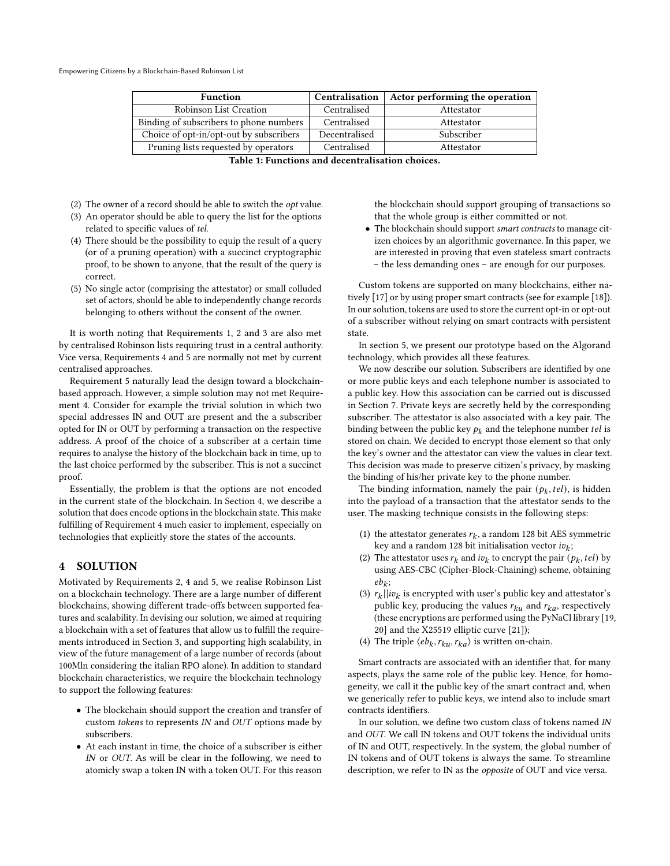<span id="page-2-1"></span>Empowering Citizens by a Blockchain-Based Robinson List

| <b>Function</b>                         | Centralisation | Actor performing the operation |
|-----------------------------------------|----------------|--------------------------------|
| Robinson List Creation                  | Centralised    | Attestator                     |
| Binding of subscribers to phone numbers | Centralised    | Attestator                     |
| Choice of opt-in/opt-out by subscribers | Decentralised  | Subscriber                     |
| Pruning lists requested by operators    | Centralised    | Attestator                     |

- <span id="page-2-2"></span>(2) The owner of a record should be able to switch the opt value.
- <span id="page-2-3"></span>(3) An operator should be able to query the list for the options related to specific values of tel.
- <span id="page-2-4"></span>(4) There should be the possibility to equip the result of a query (or of a pruning operation) with a succinct cryptographic proof, to be shown to anyone, that the result of the query is correct.
- <span id="page-2-5"></span>(5) No single actor (comprising the attestator) or small colluded set of actors, should be able to independently change records belonging to others without the consent of the owner.

It is worth noting that Requirements [1,](#page-1-1) [2](#page-2-2) and [3](#page-2-3) are also met by centralised Robinson lists requiring trust in a central authority. Vice versa, Requirements [4](#page-2-4) and [5](#page-2-5) are normally not met by current centralised approaches.

Requirement [5](#page-2-5) naturally lead the design toward a blockchainbased approach. However, a simple solution may not met Requirement [4.](#page-2-4) Consider for example the trivial solution in which two special addresses IN and OUT are present and the a subscriber opted for IN or OUT by performing a transaction on the respective address. A proof of the choice of a subscriber at a certain time requires to analyse the history of the blockchain back in time, up to the last choice performed by the subscriber. This is not a succinct proof.

Essentially, the problem is that the options are not encoded in the current state of the blockchain. In Section [4,](#page-2-0) we describe a solution that does encode options in the blockchain state. This make fulfilling of Requirement [4](#page-2-4) much easier to implement, especially on technologies that explicitly store the states of the accounts.

## <span id="page-2-0"></span>4 SOLUTION

Motivated by Requirements [2,](#page-2-2) [4](#page-2-4) and [5,](#page-2-5) we realise Robinson List on a blockchain technology. There are a large number of different blockchains, showing different trade-offs between supported features and scalability. In devising our solution, we aimed at requiring a blockchain with a set of features that allow us to fulfill the requirements introduced in Section [3,](#page-1-0) and supporting high scalability, in view of the future management of a large number of records (about 100Mln considering the italian RPO alone). In addition to standard blockchain characteristics, we require the blockchain technology to support the following features:

- The blockchain should support the creation and transfer of custom tokens to represents IN and OUT options made by subscribers.
- At each instant in time, the choice of a subscriber is either IN or OUT. As will be clear in the following, we need to atomicly swap a token IN with a token OUT. For this reason

the blockchain should support grouping of transactions so that the whole group is either committed or not.

• The blockchain should support smart contracts to manage citizen choices by an algorithmic governance. In this paper, we are interested in proving that even stateless smart contracts – the less demanding ones – are enough for our purposes.

Custom tokens are supported on many blockchains, either natively [\[17\]](#page-7-17) or by using proper smart contracts (see for example [\[18\]](#page-7-18)). In our solution, tokens are used to store the current opt-in or opt-out of a subscriber without relying on smart contracts with persistent state.

In section [5,](#page-3-0) we present our prototype based on the Algorand technology, which provides all these features.

We now describe our solution. Subscribers are identified by one or more public keys and each telephone number is associated to a public key. How this association can be carried out is discussed in Section [7.](#page-6-0) Private keys are secretly held by the corresponding subscriber. The attestator is also associated with a key pair. The binding between the public key  $p_k$  and the telephone number *tel* is stored on chain. We decided to encrypt those element so that only the key's owner and the attestator can view the values in clear text. This decision was made to preserve citizen's privacy, by masking the binding of his/her private key to the phone number.

The binding information, namely the pair  $(p_k, tel)$ , is hidden into the payload of a transaction that the attestator sends to the user. The masking technique consists in the following steps:

- (1) the attestator generates  $r_k$ , a random 128 bit AES symmetric key and a random 128 bit initialisation vector  $iv_k$ ;
- (2) The attestator uses  $r_k$  and  $iv_k$  to encrypt the pair  $(p_k, tel)$  by using AES-CBC (Cipher-Block-Chaining) scheme, obtaining  $eb_k$ ;
- (3)  $r_k || i v_k$  is encrypted with user's public key and attestator's public key, producing the values  $r_{ku}$  and  $r_{ka}$ , respectively (these encryptions are performed using the PyNaCl library [\[19,](#page-7-19) [20\]](#page-7-20) and the X25519 elliptic curve [\[21\]](#page-7-21));
- (4) The triple  $\langle eb_k, r_{ku}, r_{ka}\rangle$  is written on-chain.

Smart contracts are associated with an identifier that, for many aspects, plays the same role of the public key. Hence, for homogeneity, we call it the public key of the smart contract and, when we generically refer to public keys, we intend also to include smart contracts identifiers.

In our solution, we define two custom class of tokens named IN and OUT. We call IN tokens and OUT tokens the individual units of IN and OUT, respectively. In the system, the global number of IN tokens and of OUT tokens is always the same. To streamline description, we refer to IN as the opposite of OUT and vice versa.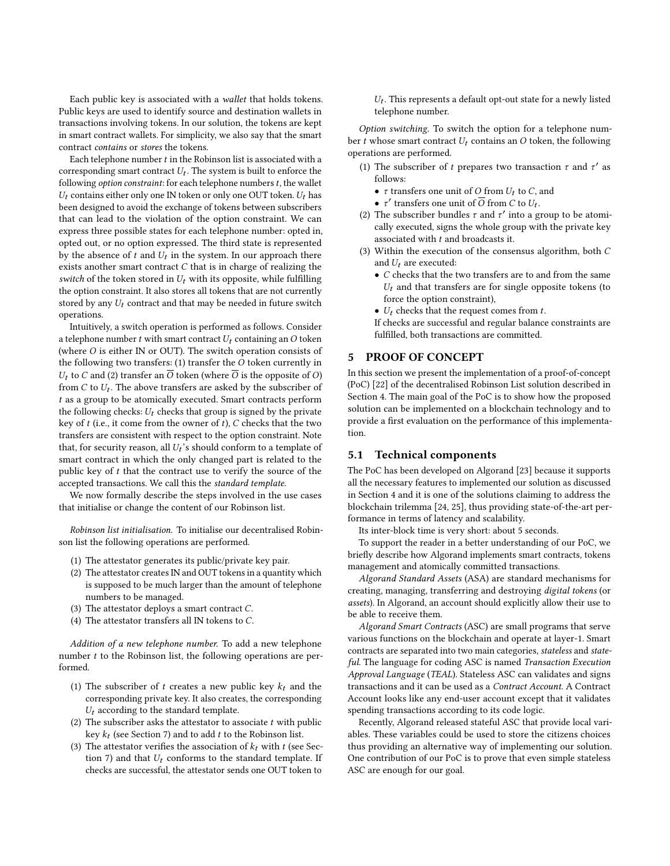Each public key is associated with a wallet that holds tokens. Public keys are used to identify source and destination wallets in transactions involving tokens. In our solution, the tokens are kept in smart contract wallets. For simplicity, we also say that the smart contract contains or stores the tokens.

Each telephone number  $t$  in the Robinson list is associated with a corresponding smart contract  $U_t$ . The system is built to enforce the following *option constraint*: for each telephone numbers  $t$ , the wallet  $U_t$  contains either only one IN token or only one OUT token.  $U_t$  has been designed to avoid the exchange of tokens between subscribers that can lead to the violation of the option constraint. We can express three possible states for each telephone number: opted in, opted out, or no option expressed. The third state is represented by the absence of  $t$  and  $U_t$  in the system. In our approach there exists another smart contract  $C$  that is in charge of realizing the switch of the token stored in  $U_t$  with its opposite, while fulfilling the option constraint. It also stores all tokens that are not currently stored by any  $U_t$  contract and that may be needed in future switch operations.

Intuitively, a switch operation is performed as follows. Consider a telephone number  $t$  with smart contract  $U_t$  containing an  $O$  token (where  $O$  is either IN or OUT). The switch operation consists of the following two transfers:  $(1)$  transfer the  $O$  token currently in  $U_t$  to C and (2) transfer an  $\overline{O}$  token (where  $\overline{O}$  is the opposite of O) from  $C$  to  $U_t$ . The above transfers are asked by the subscriber of as a group to be atomically executed. Smart contracts perform the following checks:  $U_t$  checks that group is signed by the private key of  $t$  (i.e., it come from the owner of  $t$ ),  $C$  checks that the two transfers are consistent with respect to the option constraint. Note that, for security reason, all  $U_t$ 's should conform to a template of smart contract in which the only changed part is related to the public key of  $t$  that the contract use to verify the source of the accepted transactions. We call this the standard template.

We now formally describe the steps involved in the use cases that initialise or change the content of our Robinson list.

Robinson list initialisation. To initialise our decentralised Robinson list the following operations are performed.

- (1) The attestator generates its public/private key pair.
- (2) The attestator creates IN and OUT tokens in a quantity which is supposed to be much larger than the amount of telephone numbers to be managed.
- (3) The attestator deploys a smart contract  $C$ .
- (4) The attestator transfers all IN tokens to  $C$ .

Addition of a new telephone number. To add a new telephone number  $t$  to the Robinson list, the following operations are performed.

- (1) The subscriber of  $t$  creates a new public key  $k_t$  and the corresponding private key. It also creates, the corresponding  $U_t$  according to the standard template.
- (2) The subscriber asks the attestator to associate  $t$  with public key  $k_t$  (see Section [7\)](#page-6-0) and to add  $t$  to the Robinson list.
- (3) The attestator verifies the association of  $k_t$  with  $t$  (see Sec-tion [7\)](#page-6-0) and that  $U_t$  conforms to the standard template. If checks are successful, the attestator sends one OUT token to

 $U_t$ . This represents a default opt-out state for a newly listed telephone number.

Option switching. To switch the option for a telephone number t whose smart contract  $U_t$  contains an O token, the following operations are performed.

- (1) The subscriber of t prepares two transaction  $\tau$  and  $\tau'$  as follows:
	- $\tau$  transfers one unit of O from  $U_t$  to C, and
	- $\tau'$  transfers one unit of  $\overline{O}$  from C to  $U_t$ .
- (2) The subscriber bundles  $\tau$  and  $\tau'$  into a group to be atomically executed, signs the whole group with the private key associated with  $t$  and broadcasts it.
- (3) Within the execution of the consensus algorithm, both  $C$ and  $U_t$  are executed:
	- $\bullet\,$  C checks that the two transfers are to and from the same  $U_t$  and that transfers are for single opposite tokens (to force the option constraint),
	- $U_t$  checks that the request comes from  $t$ .

If checks are successful and regular balance constraints are fulfilled, both transactions are committed.

#### <span id="page-3-0"></span>5 PROOF OF CONCEPT

In this section we present the implementation of a proof-of-concept (PoC) [\[22\]](#page-7-22) of the decentralised Robinson List solution described in Section [4.](#page-2-0) The main goal of the PoC is to show how the proposed solution can be implemented on a blockchain technology and to provide a first evaluation on the performance of this implementation.

### 5.1 Technical components

The PoC has been developed on Algorand [\[23\]](#page-7-23) because it supports all the necessary features to implemented our solution as discussed in Section [4](#page-2-0) and it is one of the solutions claiming to address the blockchain trilemma [\[24,](#page-7-24) [25\]](#page-7-25), thus providing state-of-the-art performance in terms of latency and scalability.

Its inter-block time is very short: about 5 seconds.

To support the reader in a better understanding of our PoC, we briefly describe how Algorand implements smart contracts, tokens management and atomically committed transactions.

Algorand Standard Assets (ASA) are standard mechanisms for creating, managing, transferring and destroying digital tokens (or assets). In Algorand, an account should explicitly allow their use to be able to receive them.

Algorand Smart Contracts (ASC) are small programs that serve various functions on the blockchain and operate at layer-1. Smart contracts are separated into two main categories, stateless and stateful. The language for coding ASC is named Transaction Execution Approval Language (TEAL). Stateless ASC can validates and signs transactions and it can be used as a Contract Account. A Contract Account looks like any end-user account except that it validates spending transactions according to its code logic.

Recently, Algorand released stateful ASC that provide local variables. These variables could be used to store the citizens choices thus providing an alternative way of implementing our solution. One contribution of our PoC is to prove that even simple stateless ASC are enough for our goal.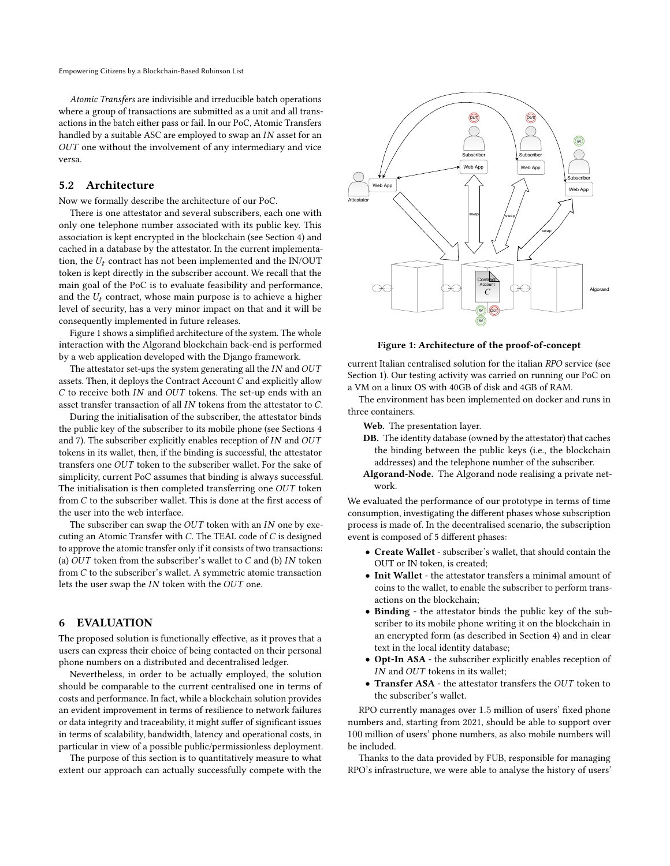Atomic Transfers are indivisible and irreducible batch operations where a group of transactions are submitted as a unit and all transactions in the batch either pass or fail. In our PoC, Atomic Transfers handled by a suitable ASC are employed to swap an  $IN$  asset for an OUT one without the involvement of any intermediary and vice versa.

## 5.2 Architecture

Now we formally describe the architecture of our PoC.

There is one attestator and several subscribers, each one with only one telephone number associated with its public key. This association is kept encrypted in the blockchain (see Section [4\)](#page-2-0) and cached in a database by the attestator. In the current implementation, the  $U_t$  contract has not been implemented and the IN/OUT token is kept directly in the subscriber account. We recall that the main goal of the PoC is to evaluate feasibility and performance, and the  $U_t$  contract, whose main purpose is to achieve a higher level of security, has a very minor impact on that and it will be consequently implemented in future releases.

Figure [1](#page-4-1) shows a simplified architecture of the system. The whole interaction with the Algorand blockchain back-end is performed by a web application developed with the Django framework.

The attestator set-ups the system generating all the  $IN$  and  $OUT$ assets. Then, it deploys the Contract Account  $C$  and explicitly allow  $C$  to receive both *IN* and *OUT* tokens. The set-up ends with an asset transfer transaction of all  $IN$  tokens from the attestator to  $C$ .

During the initialisation of the subscriber, the attestator binds the public key of the subscriber to its mobile phone (see Sections [4](#page-2-0) and [7\)](#page-6-0). The subscriber explicitly enables reception of  $IN$  and  $OUT$ tokens in its wallet, then, if the binding is successful, the attestator transfers one  $OUT$  token to the subscriber wallet. For the sake of simplicity, current PoC assumes that binding is always successful. The initialisation is then completed transferring one  $OUT$  token from  $C$  to the subscriber wallet. This is done at the first access of the user into the web interface.

The subscriber can swap the  $OUT$  token with an  $IN$  one by executing an Atomic Transfer with  $C$ . The TEAL code of  $C$  is designed to approve the atomic transfer only if it consists of two transactions: (a)  $OUT$  token from the subscriber's wallet to  $C$  and (b)  $IN$  token from  $C$  to the subscriber's wallet. A symmetric atomic transaction lets the user swap the  $IN$  token with the  $OUT$  one.

#### <span id="page-4-0"></span>6 EVALUATION

The proposed solution is functionally effective, as it proves that a users can express their choice of being contacted on their personal phone numbers on a distributed and decentralised ledger.

Nevertheless, in order to be actually employed, the solution should be comparable to the current centralised one in terms of costs and performance. In fact, while a blockchain solution provides an evident improvement in terms of resilience to network failures or data integrity and traceability, it might suffer of significant issues in terms of scalability, bandwidth, latency and operational costs, in particular in view of a possible public/permissionless deployment.

The purpose of this section is to quantitatively measure to what extent our approach can actually successfully compete with the

<span id="page-4-1"></span>

Figure 1: Architecture of the proof-of-concept

current Italian centralised solution for the italian RPO service (see Section [1\)](#page-0-0). Our testing activity was carried on running our PoC on a VM on a linux OS with 40GB of disk and 4GB of RAM.

The environment has been implemented on docker and runs in three containers.

Web. The presentation layer.

- DB. The identity database (owned by the attestator) that caches the binding between the public keys (i.e., the blockchain addresses) and the telephone number of the subscriber.
- Algorand-Node. The Algorand node realising a private network.

We evaluated the performance of our prototype in terms of time consumption, investigating the different phases whose subscription process is made of. In the decentralised scenario, the subscription event is composed of 5 different phases:

- Create Wallet subscriber's wallet, that should contain the OUT or IN token, is created;
- Init Wallet the attestator transfers a minimal amount of coins to the wallet, to enable the subscriber to perform transactions on the blockchain;
- Binding the attestator binds the public key of the subscriber to its mobile phone writing it on the blockchain in an encrypted form (as described in Section [4\)](#page-2-0) and in clear text in the local identity database;
- Opt-In ASA the subscriber explicitly enables reception of  $IN$  and  $OUT$  tokens in its wallet;
- Transfer ASA the attestator transfers the  $OUT$  token to the subscriber's wallet.

RPO currently manages over 1.5 million of users' fixed phone numbers and, starting from 2021, should be able to support over 100 million of users' phone numbers, as also mobile numbers will be included.

Thanks to the data provided by FUB, responsible for managing RPO's infrastructure, we were able to analyse the history of users'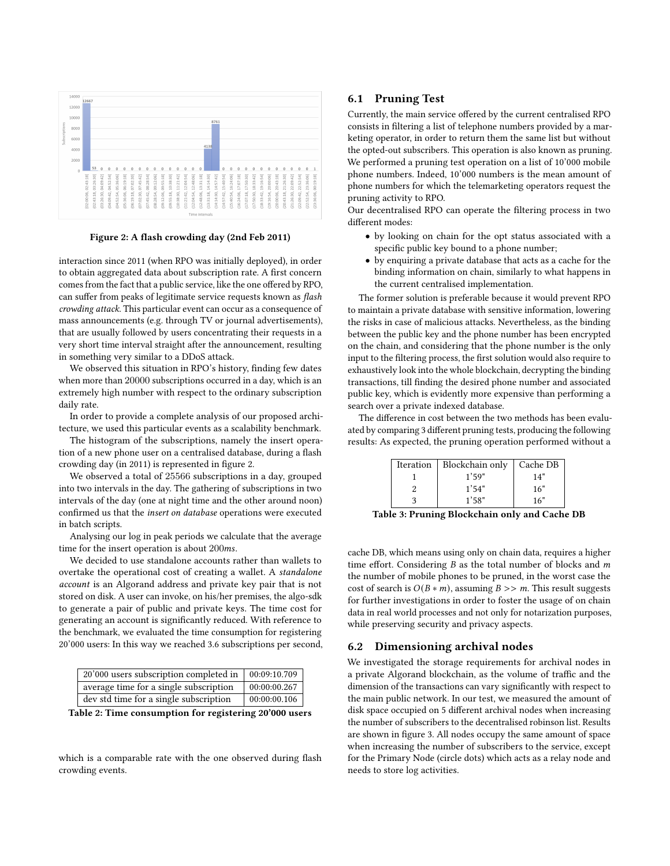<span id="page-5-0"></span>

Figure 2: A flash crowding day (2nd Feb 2011)

interaction since 2011 (when RPO was initially deployed), in order to obtain aggregated data about subscription rate. A first concern comes from the fact that a public service, like the one offered by RPO, can suffer from peaks of legitimate service requests known as flash crowding attack. This particular event can occur as a consequence of mass announcements (e.g. through TV or journal advertisements), that are usually followed by users concentrating their requests in a very short time interval straight after the announcement, resulting in something very similar to a DDoS attack.

We observed this situation in RPO's history, finding few dates when more than 20000 subscriptions occurred in a day, which is an extremely high number with respect to the ordinary subscription daily rate.

In order to provide a complete analysis of our proposed architecture, we used this particular events as a scalability benchmark.

The histogram of the subscriptions, namely the insert operation of a new phone user on a centralised database, during a flash crowding day (in 2011) is represented in figure [2.](#page-5-0)

We observed a total of 25566 subscriptions in a day, grouped into two intervals in the day. The gathering of subscriptions in two intervals of the day (one at night time and the other around noon) confirmed us that the insert on database operations were executed in batch scripts.

Analysing our log in peak periods we calculate that the average time for the insert operation is about  $200ms$ .

We decided to use standalone accounts rather than wallets to overtake the operational cost of creating a wallet. A standalone account is an Algorand address and private key pair that is not stored on disk. A user can invoke, on his/her premises, the algo-sdk to generate a pair of public and private keys. The time cost for generating an account is significantly reduced. With reference to the benchmark, we evaluated the time consumption for registering 20'000 users: In this way we reached 3.6 subscriptions per second,

| 20'000 users subscription completed in | 00:09:10.709 |
|----------------------------------------|--------------|
| average time for a single subscription | 00:00:00.267 |
| dev std time for a single subscription | 00:00:00.106 |

Table 2: Time consumption for registering 20'000 users

which is a comparable rate with the one observed during flash crowding events.

### 6.1 Pruning Test

Currently, the main service offered by the current centralised RPO consists in filtering a list of telephone numbers provided by a marketing operator, in order to return them the same list but without the opted-out subscribers. This operation is also known as pruning. We performed a pruning test operation on a list of 10'000 mobile phone numbers. Indeed, 10'000 numbers is the mean amount of phone numbers for which the telemarketing operators request the pruning activity to RPO.

Our decentralised RPO can operate the filtering process in two different modes:

- by looking on chain for the opt status associated with a specific public key bound to a phone number;
- by enquiring a private database that acts as a cache for the binding information on chain, similarly to what happens in the current centralised implementation.

The former solution is preferable because it would prevent RPO to maintain a private database with sensitive information, lowering the risks in case of malicious attacks. Nevertheless, as the binding between the public key and the phone number has been encrypted on the chain, and considering that the phone number is the only input to the filtering process, the first solution would also require to exhaustively look into the whole blockchain, decrypting the binding transactions, till finding the desired phone number and associated public key, which is evidently more expensive than performing a search over a private indexed database.

The difference in cost between the two methods has been evaluated by comparing 3 different pruning tests, producing the following results: As expected, the pruning operation performed without a

| Iteration | Blockchain only | Cache DB |
|-----------|-----------------|----------|
|           | 1'59"           | 14"      |
|           | 1'54"           | 16"      |
|           | 1'58"           | 16"      |

Table 3: Pruning Blockchain only and Cache DB

cache DB, which means using only on chain data, requires a higher time effort. Considering  $B$  as the total number of blocks and  $m$ the number of mobile phones to be pruned, in the worst case the cost of search is  $O(B * m)$ , assuming  $B >> m$ . This result suggests for further investigations in order to foster the usage of on chain data in real world processes and not only for notarization purposes, while preserving security and privacy aspects.

#### 6.2 Dimensioning archival nodes

We investigated the storage requirements for archival nodes in a private Algorand blockchain, as the volume of traffic and the dimension of the transactions can vary significantly with respect to the main public network. In our test, we measured the amount of disk space occupied on 5 different archival nodes when increasing the number of subscribers to the decentralised robinson list. Results are shown in figure [3.](#page-6-1) All nodes occupy the same amount of space when increasing the number of subscribers to the service, except for the Primary Node (circle dots) which acts as a relay node and needs to store log activities.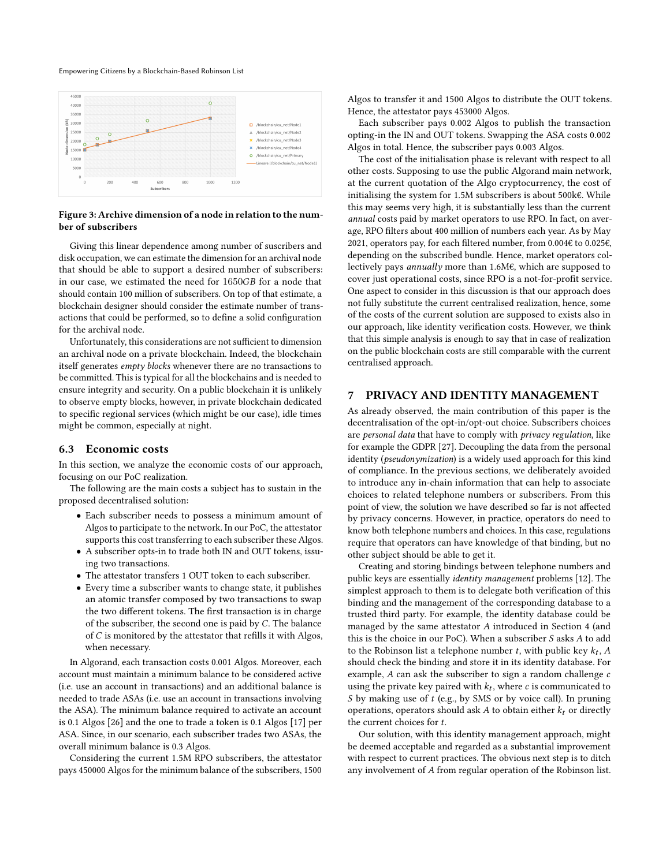#### Empowering Citizens by a Blockchain-Based Robinson List

<span id="page-6-1"></span>

#### Figure 3: Archive dimension of a node in relation to the number of subscribers

Giving this linear dependence among number of suscribers and disk occupation, we can estimate the dimension for an archival node that should be able to support a desired number of subscribers: in our case, we estimated the need for 1650GB for a node that should contain 100 million of subscribers. On top of that estimate, a blockchain designer should consider the estimate number of transactions that could be performed, so to define a solid configuration for the archival node.

Unfortunately, this considerations are not sufficient to dimension an archival node on a private blockchain. Indeed, the blockchain itself generates empty blocks whenever there are no transactions to be committed. This is typical for all the blockchains and is needed to ensure integrity and security. On a public blockchain it is unlikely to observe empty blocks, however, in private blockchain dedicated to specific regional services (which might be our case), idle times might be common, especially at night.

#### 6.3 Economic costs

In this section, we analyze the economic costs of our approach, focusing on our PoC realization.

The following are the main costs a subject has to sustain in the proposed decentralised solution:

- Each subscriber needs to possess a minimum amount of Algos to participate to the network. In our PoC, the attestator supports this cost transferring to each subscriber these Algos.
- A subscriber opts-in to trade both IN and OUT tokens, issuing two transactions.
- The attestator transfers 1 OUT token to each subscriber.
- Every time a subscriber wants to change state, it publishes an atomic transfer composed by two transactions to swap the two different tokens. The first transaction is in charge of the subscriber, the second one is paid by  $C$ . The balance of  $C$  is monitored by the attestator that refills it with Algos, when necessary.

In Algorand, each transaction costs 0.001 Algos. Moreover, each account must maintain a minimum balance to be considered active (i.e. use an account in transactions) and an additional balance is needed to trade ASAs (i.e. use an account in transactions involving the ASA). The minimum balance required to activate an account is 0.1 Algos [\[26\]](#page-7-26) and the one to trade a token is 0.1 Algos [\[17\]](#page-7-17) per ASA. Since, in our scenario, each subscriber trades two ASAs, the overall minimum balance is 0.3 Algos.

Considering the current 1.5M RPO subscribers, the attestator pays 450000 Algos for the minimum balance of the subscribers, 1500

Algos to transfer it and 1500 Algos to distribute the OUT tokens. Hence, the attestator pays 453000 Algos.

Each subscriber pays 0.002 Algos to publish the transaction opting-in the IN and OUT tokens. Swapping the ASA costs 0.002 Algos in total. Hence, the subscriber pays 0.003 Algos.

The cost of the initialisation phase is relevant with respect to all other costs. Supposing to use the public Algorand main network, at the current quotation of the Algo cryptocurrency, the cost of initialising the system for 1.5M subscribers is about 500k€. While this may seems very high, it is substantially less than the current annual costs paid by market operators to use RPO. In fact, on average, RPO filters about 400 million of numbers each year. As by May 2021, operators pay, for each filtered number, from 0.004€ to 0.025€, depending on the subscribed bundle. Hence, market operators collectively pays annually more than 1.6M€, which are supposed to cover just operational costs, since RPO is a not-for-profit service. One aspect to consider in this discussion is that our approach does not fully substitute the current centralised realization, hence, some of the costs of the current solution are supposed to exists also in our approach, like identity verification costs. However, we think that this simple analysis is enough to say that in case of realization on the public blockchain costs are still comparable with the current centralised approach.

## <span id="page-6-0"></span>7 PRIVACY AND IDENTITY MANAGEMENT

As already observed, the main contribution of this paper is the decentralisation of the opt-in/opt-out choice. Subscribers choices are personal data that have to comply with privacy regulation, like for example the GDPR [\[27\]](#page-7-27). Decoupling the data from the personal identity (pseudonymization) is a widely used approach for this kind of compliance. In the previous sections, we deliberately avoided to introduce any in-chain information that can help to associate choices to related telephone numbers or subscribers. From this point of view, the solution we have described so far is not affected by privacy concerns. However, in practice, operators do need to know both telephone numbers and choices. In this case, regulations require that operators can have knowledge of that binding, but no other subject should be able to get it.

Creating and storing bindings between telephone numbers and public keys are essentially identity management problems [\[12\]](#page-7-12). The simplest approach to them is to delegate both verification of this binding and the management of the corresponding database to a trusted third party. For example, the identity database could be managed by the same attestator A introduced in Section [4](#page-2-0) (and this is the choice in our PoC). When a subscriber  $S$  asks  $A$  to add to the Robinson list a telephone number  $t$ , with public key  $k_t$ , A should check the binding and store it in its identity database. For example,  $A$  can ask the subscriber to sign a random challenge  $c$ using the private key paired with  $k_t$ , where  $c$  is communicated to S by making use of  $t$  (e.g., by SMS or by voice call). In pruning operations, operators should ask  $A$  to obtain either  $k_t$  or directly the current choices for  $t$ .

Our solution, with this identity management approach, might be deemed acceptable and regarded as a substantial improvement with respect to current practices. The obvious next step is to ditch any involvement of  $A$  from regular operation of the Robinson list.